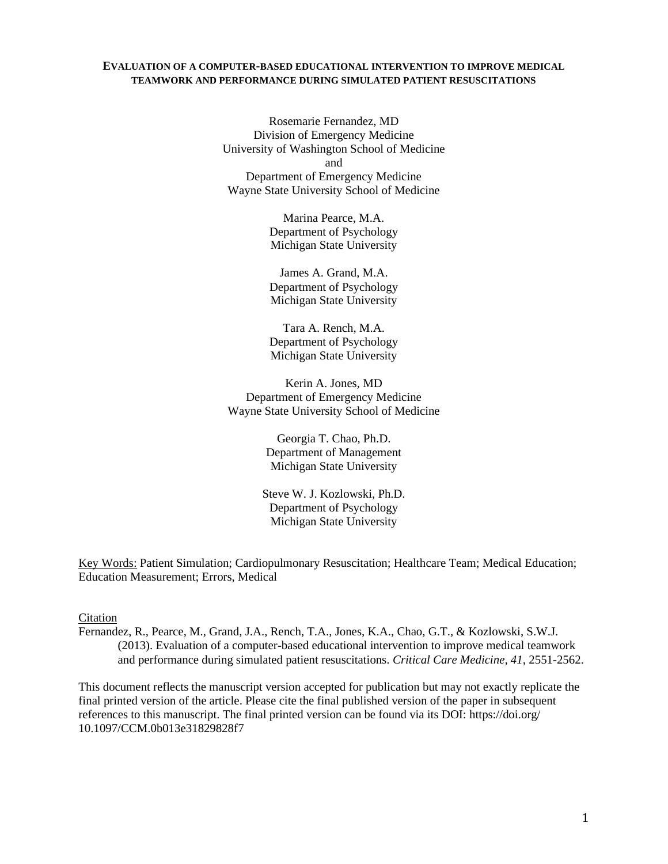### **EVALUATION OF A COMPUTER-BASED EDUCATIONAL INTERVENTION TO IMPROVE MEDICAL TEAMWORK AND PERFORMANCE DURING SIMULATED PATIENT RESUSCITATIONS**

Rosemarie Fernandez, MD Division of Emergency Medicine University of Washington School of Medicine and Department of Emergency Medicine Wayne State University School of Medicine

> Marina Pearce, M.A. Department of Psychology Michigan State University

> James A. Grand, M.A. Department of Psychology Michigan State University

> Tara A. Rench, M.A. Department of Psychology Michigan State University

Kerin A. Jones, MD Department of Emergency Medicine Wayne State University School of Medicine

> Georgia T. Chao, Ph.D. Department of Management Michigan State University

Steve W. J. Kozlowski, Ph.D. Department of Psychology Michigan State University

Key Words: Patient Simulation; Cardiopulmonary Resuscitation; Healthcare Team; Medical Education; Education Measurement; Errors, Medical

Citation

Fernandez, R., Pearce, M., Grand, J.A., Rench, T.A., Jones, K.A., Chao, G.T., & Kozlowski, S.W.J. (2013). Evaluation of a computer-based educational intervention to improve medical teamwork and performance during simulated patient resuscitations. *Critical Care Medicine, 41*, 2551-2562.

This document reflects the manuscript version accepted for publication but may not exactly replicate the final printed version of the article. Please cite the final published version of the paper in subsequent references to this manuscript. The final printed version can be found via its DOI: https://doi.org/ 10.1097/CCM.0b013e31829828f7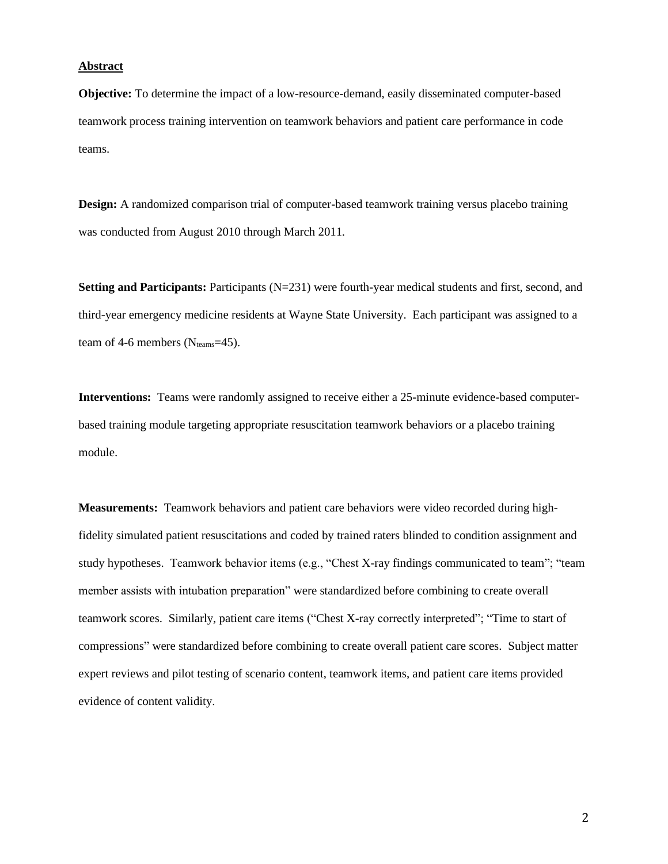#### **Abstract**

**Objective:** To determine the impact of a low-resource-demand, easily disseminated computer-based teamwork process training intervention on teamwork behaviors and patient care performance in code teams.

**Design:** A randomized comparison trial of computer-based teamwork training versus placebo training was conducted from August 2010 through March 2011.

**Setting and Participants:** Participants (N=231) were fourth-year medical students and first, second, and third-year emergency medicine residents at Wayne State University. Each participant was assigned to a team of 4-6 members ( $N_{\text{teams}}$ =45).

**Interventions:** Teams were randomly assigned to receive either a 25-minute evidence-based computerbased training module targeting appropriate resuscitation teamwork behaviors or a placebo training module.

**Measurements:** Teamwork behaviors and patient care behaviors were video recorded during highfidelity simulated patient resuscitations and coded by trained raters blinded to condition assignment and study hypotheses. Teamwork behavior items (e.g., "Chest X-ray findings communicated to team"; "team member assists with intubation preparation" were standardized before combining to create overall teamwork scores. Similarly, patient care items ("Chest X-ray correctly interpreted"; "Time to start of compressions" were standardized before combining to create overall patient care scores. Subject matter expert reviews and pilot testing of scenario content, teamwork items, and patient care items provided evidence of content validity.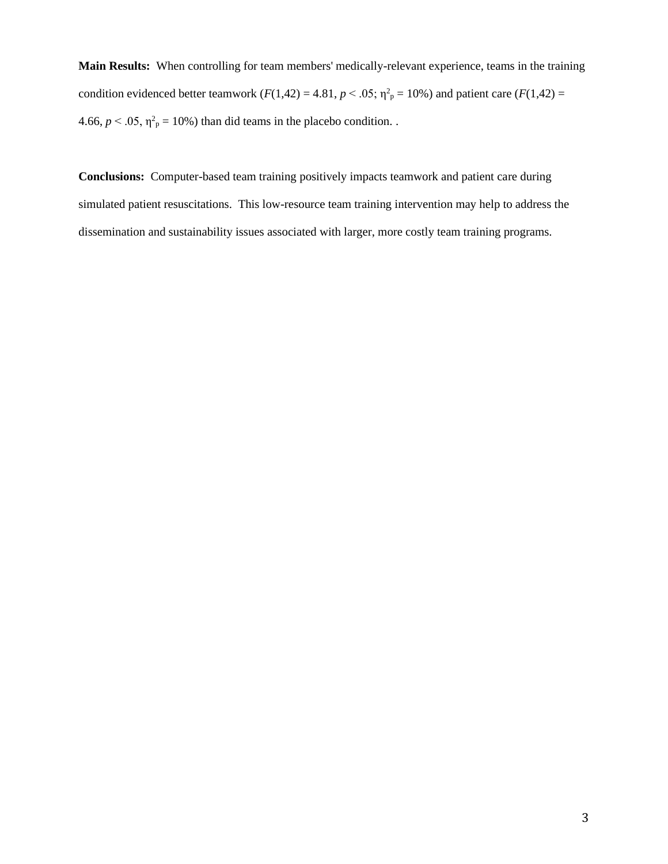**Main Results:** When controlling for team members' medically-relevant experience, teams in the training condition evidenced better teamwork  $(F(1,42) = 4.81, p < .05; \eta^2_p = 10\%)$  and patient care  $(F(1,42) =$ 4.66,  $p < .05$ ,  $\eta^2$ <sub>p</sub> = 10%) than did teams in the placebo condition.

**Conclusions:** Computer-based team training positively impacts teamwork and patient care during simulated patient resuscitations. This low-resource team training intervention may help to address the dissemination and sustainability issues associated with larger, more costly team training programs.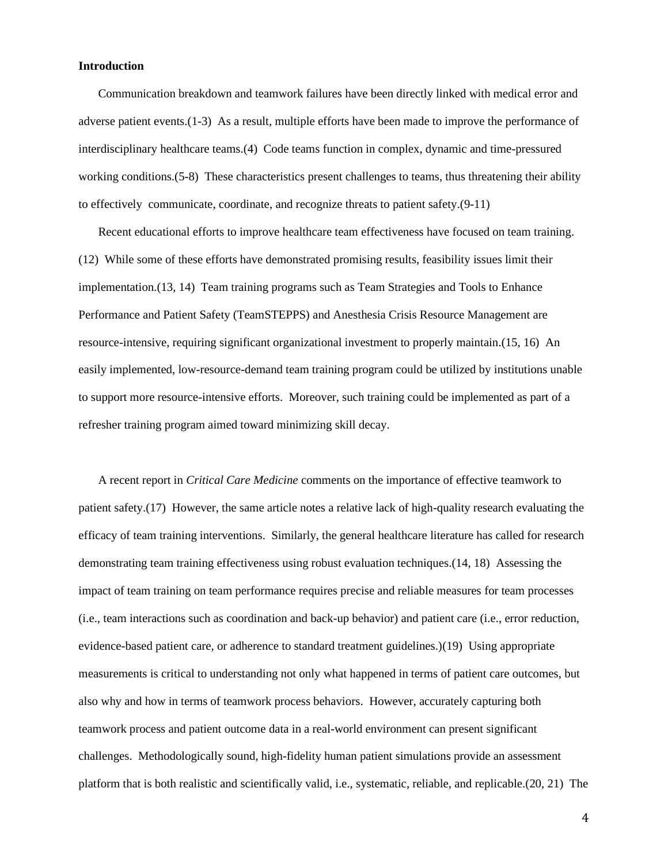## **Introduction**

Communication breakdown and teamwork failures have been directly linked with medical error and adverse patient events.[\(1-3\)](#page-16-0) As a result, multiple efforts have been made to improve the performance of interdisciplinary healthcare teams.[\(4\)](#page-16-1) Code teams function in complex, dynamic and time-pressured working conditions.[\(5-8\)](#page-16-2) These characteristics present challenges to teams, thus threatening their ability to effectively communicate, coordinate, and recognize threats to patient safety.[\(9-11\)](#page-16-3)

Recent educational efforts to improve healthcare team effectiveness have focused on team training. [\(12\)](#page-16-4) While some of these efforts have demonstrated promising results, feasibility issues limit their implementation.[\(13,](#page-16-5) [14\)](#page-16-6) Team training programs such as Team Strategies and Tools to Enhance Performance and Patient Safety (TeamSTEPPS) and Anesthesia Crisis Resource Management are resource-intensive, requiring significant organizational investment to properly maintain.[\(15,](#page-16-7) [16\)](#page-16-8) An easily implemented, low-resource-demand team training program could be utilized by institutions unable to support more resource-intensive efforts. Moreover, such training could be implemented as part of a refresher training program aimed toward minimizing skill decay.

A recent report in *Critical Care Medicine* comments on the importance of effective teamwork to patient safety.[\(17\)](#page-16-9) However, the same article notes a relative lack of high-quality research evaluating the efficacy of team training interventions. Similarly, the general healthcare literature has called for research demonstrating team training effectiveness using robust evaluation techniques.[\(14,](#page-16-6) [18\)](#page-16-10) Assessing the impact of team training on team performance requires precise and reliable measures for team processes (i.e., team interactions such as coordination and back-up behavior) and patient care (i.e., error reduction, evidence-based patient care, or adherence to standard treatment guidelines.)[\(19\)](#page-16-11) Using appropriate measurements is critical to understanding not only what happened in terms of patient care outcomes, but also why and how in terms of teamwork process behaviors. However, accurately capturing both teamwork process and patient outcome data in a real-world environment can present significant challenges. Methodologically sound, high-fidelity human patient simulations provide an assessment platform that is both realistic and scientifically valid, i.e., systematic, reliable, and replicable.[\(20,](#page-16-12) [21\)](#page-16-13) The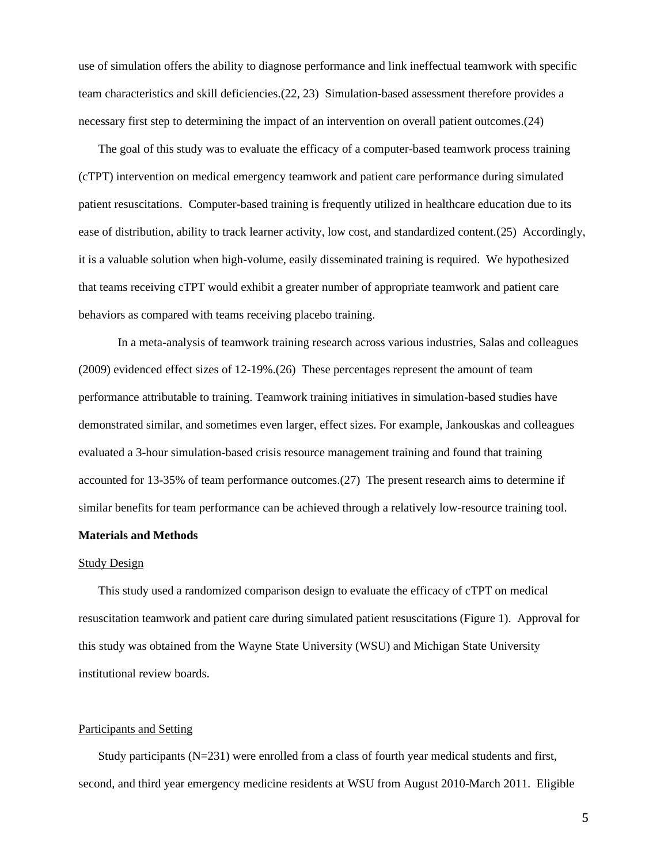use of simulation offers the ability to diagnose performance and link ineffectual teamwork with specific team characteristics and skill deficiencies.[\(22,](#page-16-14) [23\)](#page-16-15) Simulation-based assessment therefore provides a necessary first step to determining the impact of an intervention on overall patient outcomes.[\(24\)](#page-16-16)

The goal of this study was to evaluate the efficacy of a computer-based teamwork process training (cTPT) intervention on medical emergency teamwork and patient care performance during simulated patient resuscitations. Computer-based training is frequently utilized in healthcare education due to its ease of distribution, ability to track learner activity, low cost, and standardized content.[\(25\)](#page-17-0) Accordingly, it is a valuable solution when high-volume, easily disseminated training is required. We hypothesized that teams receiving cTPT would exhibit a greater number of appropriate teamwork and patient care behaviors as compared with teams receiving placebo training.

In a meta-analysis of teamwork training research across various industries, Salas and colleagues (2009) evidenced effect sizes of 12-19%.[\(26\)](#page-17-1) These percentages represent the amount of team performance attributable to training. Teamwork training initiatives in simulation-based studies have demonstrated similar, and sometimes even larger, effect sizes. For example, Jankouskas and colleagues evaluated a 3-hour simulation-based crisis resource management training and found that training accounted for 13-35% of team performance outcomes.[\(27\)](#page-17-2) The present research aims to determine if similar benefits for team performance can be achieved through a relatively low-resource training tool.

#### **Materials and Methods**

#### Study Design

This study used a randomized comparison design to evaluate the efficacy of cTPT on medical resuscitation teamwork and patient care during simulated patient resuscitations (Figure 1). Approval for this study was obtained from the Wayne State University (WSU) and Michigan State University institutional review boards.

#### Participants and Setting

Study participants (N=231) were enrolled from a class of fourth year medical students and first, second, and third year emergency medicine residents at WSU from August 2010-March 2011. Eligible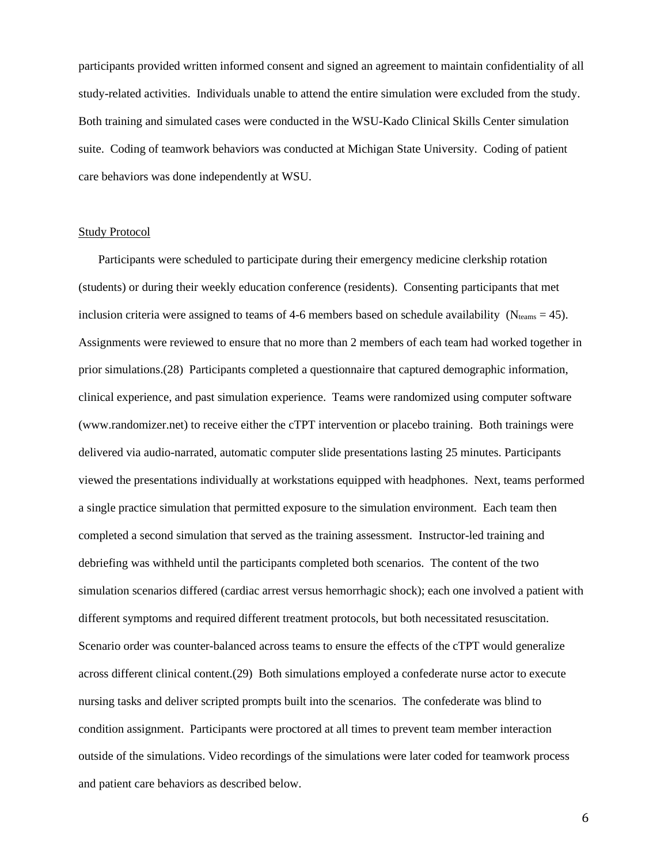participants provided written informed consent and signed an agreement to maintain confidentiality of all study-related activities. Individuals unable to attend the entire simulation were excluded from the study. Both training and simulated cases were conducted in the WSU-Kado Clinical Skills Center simulation suite. Coding of teamwork behaviors was conducted at Michigan State University. Coding of patient care behaviors was done independently at WSU.

### Study Protocol

Participants were scheduled to participate during their emergency medicine clerkship rotation (students) or during their weekly education conference (residents). Consenting participants that met inclusion criteria were assigned to teams of 4-6 members based on schedule availability ( $N_{\text{teams}} = 45$ ). Assignments were reviewed to ensure that no more than 2 members of each team had worked together in prior simulations.[\(28\)](#page-17-3) Participants completed a questionnaire that captured demographic information, clinical experience, and past simulation experience. Teams were randomized using computer software (www.randomizer.net) to receive either the cTPT intervention or placebo training. Both trainings were delivered via audio-narrated, automatic computer slide presentations lasting 25 minutes. Participants viewed the presentations individually at workstations equipped with headphones. Next, teams performed a single practice simulation that permitted exposure to the simulation environment. Each team then completed a second simulation that served as the training assessment. Instructor-led training and debriefing was withheld until the participants completed both scenarios. The content of the two simulation scenarios differed (cardiac arrest versus hemorrhagic shock); each one involved a patient with different symptoms and required different treatment protocols, but both necessitated resuscitation. Scenario order was counter-balanced across teams to ensure the effects of the cTPT would generalize across different clinical content.[\(29\)](#page-17-4) Both simulations employed a confederate nurse actor to execute nursing tasks and deliver scripted prompts built into the scenarios. The confederate was blind to condition assignment. Participants were proctored at all times to prevent team member interaction outside of the simulations. Video recordings of the simulations were later coded for teamwork process and patient care behaviors as described below.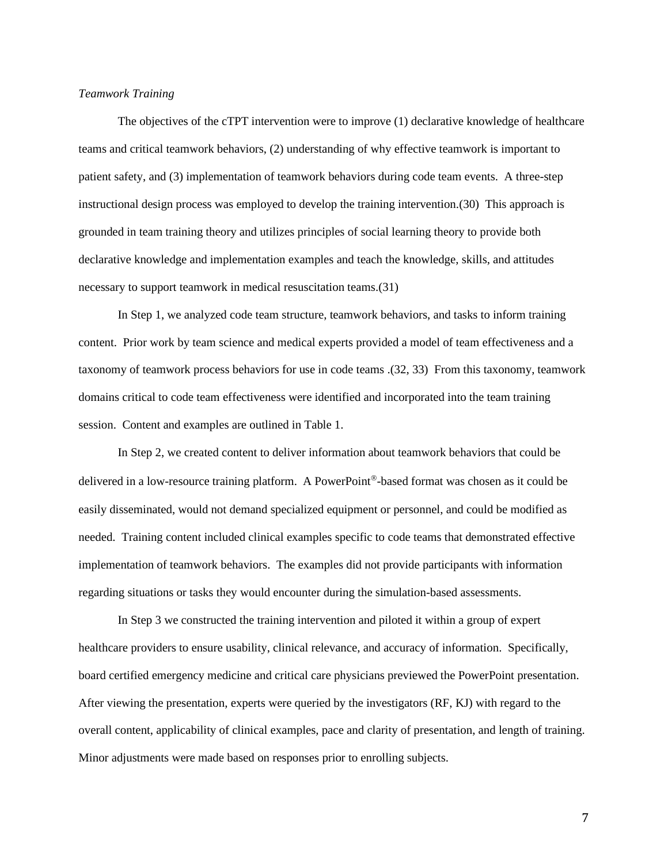#### *Teamwork Training*

The objectives of the cTPT intervention were to improve (1) declarative knowledge of healthcare teams and critical teamwork behaviors, (2) understanding of why effective teamwork is important to patient safety, and (3) implementation of teamwork behaviors during code team events. A three-step instructional design process was employed to develop the training intervention.[\(30\)](#page-17-5) This approach is grounded in team training theory and utilizes principles of social learning theory to provide both declarative knowledge and implementation examples and teach the knowledge, skills, and attitudes necessary to support teamwork in medical resuscitation teams.[\(31\)](#page-17-6)

In Step 1, we analyzed code team structure, teamwork behaviors, and tasks to inform training content. Prior work by team science and medical experts provided a model of team effectiveness and a taxonomy of teamwork process behaviors for use in code teams .[\(32,](#page-17-7) [33\)](#page-17-8) From this taxonomy, teamwork domains critical to code team effectiveness were identified and incorporated into the team training session. Content and examples are outlined in Table 1.

In Step 2, we created content to deliver information about teamwork behaviors that could be delivered in a low-resource training platform. A PowerPoint<sup>®</sup>-based format was chosen as it could be easily disseminated, would not demand specialized equipment or personnel, and could be modified as needed. Training content included clinical examples specific to code teams that demonstrated effective implementation of teamwork behaviors. The examples did not provide participants with information regarding situations or tasks they would encounter during the simulation-based assessments.

In Step 3 we constructed the training intervention and piloted it within a group of expert healthcare providers to ensure usability, clinical relevance, and accuracy of information. Specifically, board certified emergency medicine and critical care physicians previewed the PowerPoint presentation. After viewing the presentation, experts were queried by the investigators (RF, KJ) with regard to the overall content, applicability of clinical examples, pace and clarity of presentation, and length of training. Minor adjustments were made based on responses prior to enrolling subjects.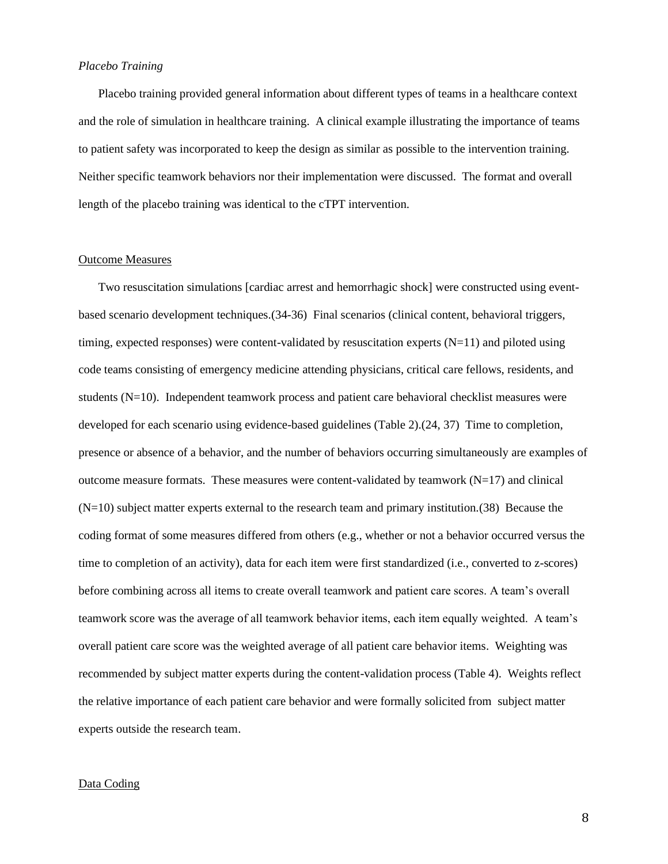## *Placebo Training*

Placebo training provided general information about different types of teams in a healthcare context and the role of simulation in healthcare training. A clinical example illustrating the importance of teams to patient safety was incorporated to keep the design as similar as possible to the intervention training. Neither specific teamwork behaviors nor their implementation were discussed. The format and overall length of the placebo training was identical to the cTPT intervention.

## Outcome Measures

Two resuscitation simulations [cardiac arrest and hemorrhagic shock] were constructed using eventbased scenario development techniques.[\(34-36\)](#page-17-9) Final scenarios (clinical content, behavioral triggers, timing, expected responses) were content-validated by resuscitation experts (N=11) and piloted using code teams consisting of emergency medicine attending physicians, critical care fellows, residents, and students (N=10). Independent teamwork process and patient care behavioral checklist measures were developed for each scenario using evidence-based guidelines (Table 2).[\(24,](#page-16-16) [37\)](#page-17-10) Time to completion, presence or absence of a behavior, and the number of behaviors occurring simultaneously are examples of outcome measure formats. These measures were content-validated by teamwork  $(N=17)$  and clinical  $(N=10)$  subject matter experts external to the research team and primary institution.[\(38\)](#page-17-11) Because the coding format of some measures differed from others (e.g., whether or not a behavior occurred versus the time to completion of an activity), data for each item were first standardized (i.e., converted to z-scores) before combining across all items to create overall teamwork and patient care scores. A team's overall teamwork score was the average of all teamwork behavior items, each item equally weighted. A team's overall patient care score was the weighted average of all patient care behavior items. Weighting was recommended by subject matter experts during the content-validation process (Table 4). Weights reflect the relative importance of each patient care behavior and were formally solicited from subject matter experts outside the research team.

### Data Coding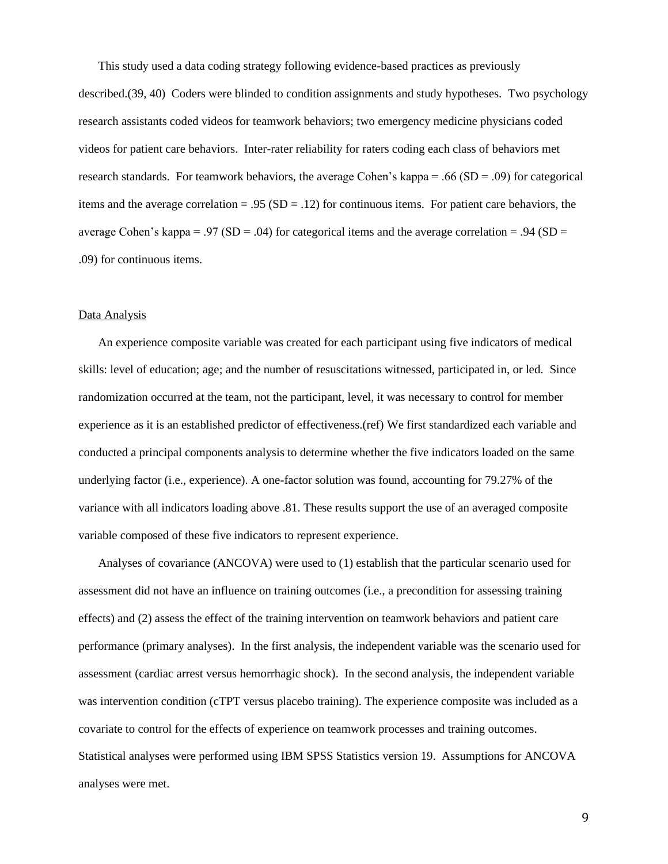This study used a data coding strategy following evidence-based practices as previously described.[\(39,](#page-17-12) [40\)](#page-17-13) Coders were blinded to condition assignments and study hypotheses. Two psychology research assistants coded videos for teamwork behaviors; two emergency medicine physicians coded videos for patient care behaviors. Inter-rater reliability for raters coding each class of behaviors met research standards. For teamwork behaviors, the average Cohen's kappa = .66 ( $SD = .09$ ) for categorical items and the average correlation  $= .95$  (SD  $= .12$ ) for continuous items. For patient care behaviors, the average Cohen's kappa = .97 (SD = .04) for categorical items and the average correlation = .94 (SD = .09) for continuous items.

### Data Analysis

An experience composite variable was created for each participant using five indicators of medical skills: level of education; age; and the number of resuscitations witnessed, participated in, or led. Since randomization occurred at the team, not the participant, level, it was necessary to control for member experience as it is an established predictor of effectiveness.(ref) We first standardized each variable and conducted a principal components analysis to determine whether the five indicators loaded on the same underlying factor (i.e., experience). A one-factor solution was found, accounting for 79.27% of the variance with all indicators loading above .81. These results support the use of an averaged composite variable composed of these five indicators to represent experience.

Analyses of covariance (ANCOVA) were used to (1) establish that the particular scenario used for assessment did not have an influence on training outcomes (i.e., a precondition for assessing training effects) and (2) assess the effect of the training intervention on teamwork behaviors and patient care performance (primary analyses). In the first analysis, the independent variable was the scenario used for assessment (cardiac arrest versus hemorrhagic shock). In the second analysis, the independent variable was intervention condition (cTPT versus placebo training). The experience composite was included as a covariate to control for the effects of experience on teamwork processes and training outcomes. Statistical analyses were performed using IBM SPSS Statistics version 19. Assumptions for ANCOVA analyses were met.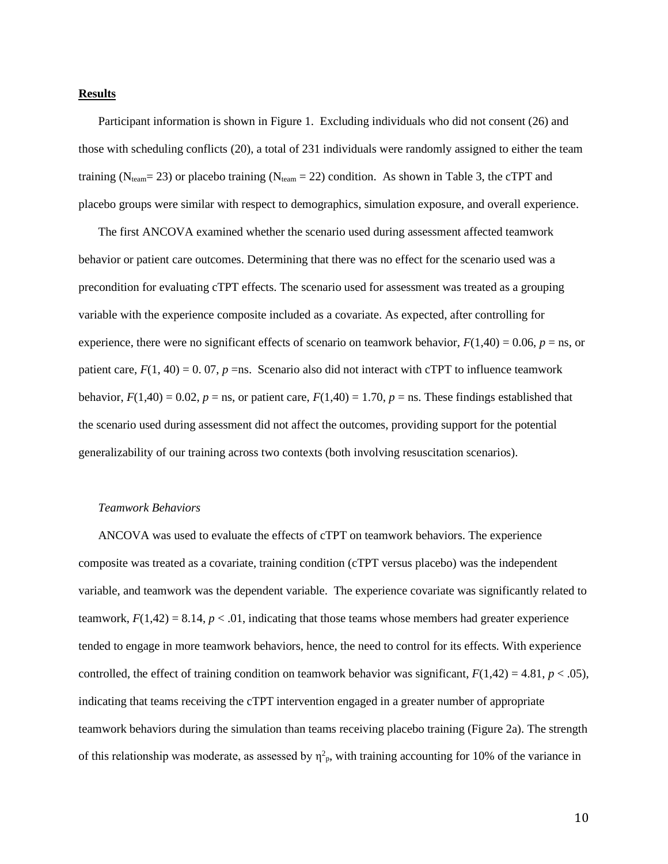#### **Results**

Participant information is shown in Figure 1. Excluding individuals who did not consent (26) and those with scheduling conflicts (20), a total of 231 individuals were randomly assigned to either the team training ( $N_{\text{team}}$ = 23) or placebo training ( $N_{\text{team}}$  = 22) condition. As shown in Table 3, the cTPT and placebo groups were similar with respect to demographics, simulation exposure, and overall experience.

The first ANCOVA examined whether the scenario used during assessment affected teamwork behavior or patient care outcomes. Determining that there was no effect for the scenario used was a precondition for evaluating cTPT effects. The scenario used for assessment was treated as a grouping variable with the experience composite included as a covariate. As expected, after controlling for experience, there were no significant effects of scenario on teamwork behavior,  $F(1,40) = 0.06$ ,  $p =$ ns, or patient care,  $F(1, 40) = 0.07$ ,  $p =$ ns. Scenario also did not interact with cTPT to influence teamwork behavior,  $F(1,40) = 0.02$ ,  $p =$ ns, or patient care,  $F(1,40) = 1.70$ ,  $p =$ ns. These findings established that the scenario used during assessment did not affect the outcomes, providing support for the potential generalizability of our training across two contexts (both involving resuscitation scenarios).

#### *Teamwork Behaviors*

ANCOVA was used to evaluate the effects of cTPT on teamwork behaviors. The experience composite was treated as a covariate, training condition (cTPT versus placebo) was the independent variable, and teamwork was the dependent variable. The experience covariate was significantly related to teamwork,  $F(1,42) = 8.14$ ,  $p < .01$ , indicating that those teams whose members had greater experience tended to engage in more teamwork behaviors, hence, the need to control for its effects. With experience controlled, the effect of training condition on teamwork behavior was significant,  $F(1,42) = 4.81$ ,  $p < .05$ ), indicating that teams receiving the cTPT intervention engaged in a greater number of appropriate teamwork behaviors during the simulation than teams receiving placebo training (Figure 2a). The strength of this relationship was moderate, as assessed by  $\eta^2$ <sub>p</sub>, with training accounting for 10% of the variance in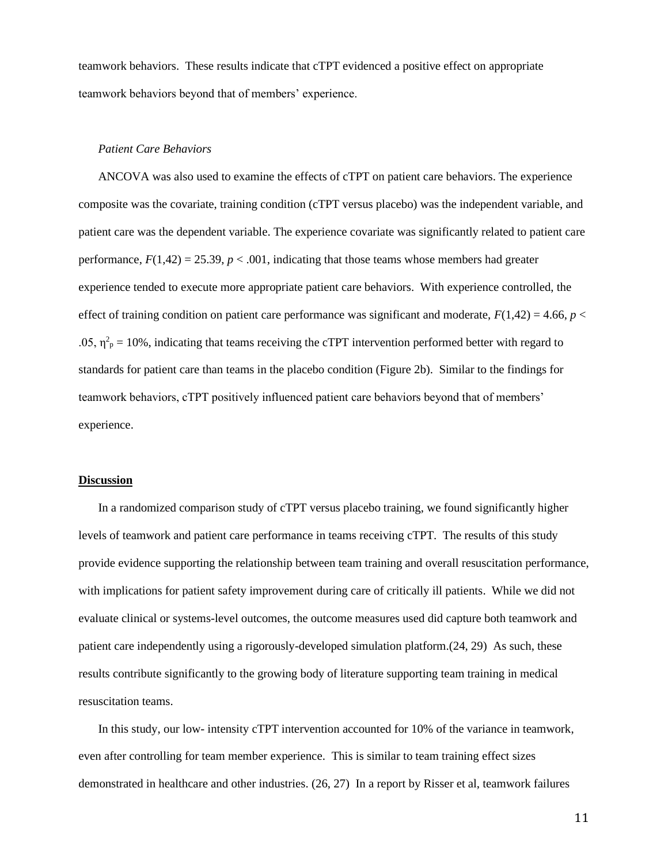teamwork behaviors. These results indicate that cTPT evidenced a positive effect on appropriate teamwork behaviors beyond that of members' experience.

#### *Patient Care Behaviors*

ANCOVA was also used to examine the effects of cTPT on patient care behaviors. The experience composite was the covariate, training condition (cTPT versus placebo) was the independent variable, and patient care was the dependent variable. The experience covariate was significantly related to patient care performance,  $F(1,42) = 25.39$ ,  $p < .001$ , indicating that those teams whose members had greater experience tended to execute more appropriate patient care behaviors. With experience controlled, the effect of training condition on patient care performance was significant and moderate,  $F(1,42) = 4.66$ ,  $p <$ .05,  $\eta^2$ <sub>p</sub> = 10%, indicating that teams receiving the cTPT intervention performed better with regard to standards for patient care than teams in the placebo condition (Figure 2b). Similar to the findings for teamwork behaviors, cTPT positively influenced patient care behaviors beyond that of members' experience.

# **Discussion**

In a randomized comparison study of cTPT versus placebo training, we found significantly higher levels of teamwork and patient care performance in teams receiving cTPT. The results of this study provide evidence supporting the relationship between team training and overall resuscitation performance, with implications for patient safety improvement during care of critically ill patients. While we did not evaluate clinical or systems-level outcomes, the outcome measures used did capture both teamwork and patient care independently using a rigorously-developed simulation platform.[\(24,](#page-16-16) [29\)](#page-17-4) As such, these results contribute significantly to the growing body of literature supporting team training in medical resuscitation teams.

In this study, our low- intensity cTPT intervention accounted for 10% of the variance in teamwork, even after controlling for team member experience. This is similar to team training effect sizes demonstrated in healthcare and other industries. [\(26,](#page-17-1) [27\)](#page-17-2) In a report by Risser et al, teamwork failures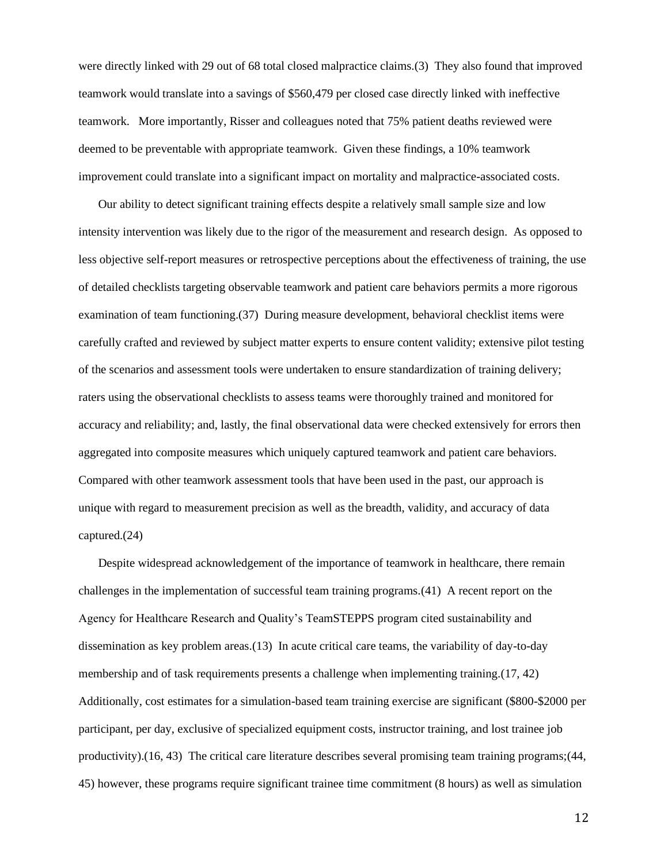were directly linked with 29 out of 68 total closed malpractice claims.[\(3\)](#page-16-17) They also found that improved teamwork would translate into a savings of \$560,479 per closed case directly linked with ineffective teamwork. More importantly, Risser and colleagues noted that 75% patient deaths reviewed were deemed to be preventable with appropriate teamwork. Given these findings, a 10% teamwork improvement could translate into a significant impact on mortality and malpractice-associated costs.

Our ability to detect significant training effects despite a relatively small sample size and low intensity intervention was likely due to the rigor of the measurement and research design. As opposed to less objective self-report measures or retrospective perceptions about the effectiveness of training, the use of detailed checklists targeting observable teamwork and patient care behaviors permits a more rigorous examination of team functioning.[\(37\)](#page-17-10) During measure development, behavioral checklist items were carefully crafted and reviewed by subject matter experts to ensure content validity; extensive pilot testing of the scenarios and assessment tools were undertaken to ensure standardization of training delivery; raters using the observational checklists to assess teams were thoroughly trained and monitored for accuracy and reliability; and, lastly, the final observational data were checked extensively for errors then aggregated into composite measures which uniquely captured teamwork and patient care behaviors. Compared with other teamwork assessment tools that have been used in the past, our approach is unique with regard to measurement precision as well as the breadth, validity, and accuracy of data captured.[\(24\)](#page-16-16)

Despite widespread acknowledgement of the importance of teamwork in healthcare, there remain challenges in the implementation of successful team training programs.[\(41\)](#page-17-14) A recent report on the Agency for Healthcare Research and Quality's TeamSTEPPS program cited sustainability and dissemination as key problem areas.[\(13\)](#page-16-5) In acute critical care teams, the variability of day-to-day membership and of task requirements presents a challenge when implementing training.[\(17,](#page-16-9) [42\)](#page-17-15) Additionally, cost estimates for a simulation-based team training exercise are significant (\$800-\$2000 per participant, per day, exclusive of specialized equipment costs, instructor training, and lost trainee job productivity).[\(16,](#page-16-8) [43\)](#page-17-16) The critical care literature describes several promising team training programs;[\(44,](#page-17-17) [45\)](#page-17-18) however, these programs require significant trainee time commitment (8 hours) as well as simulation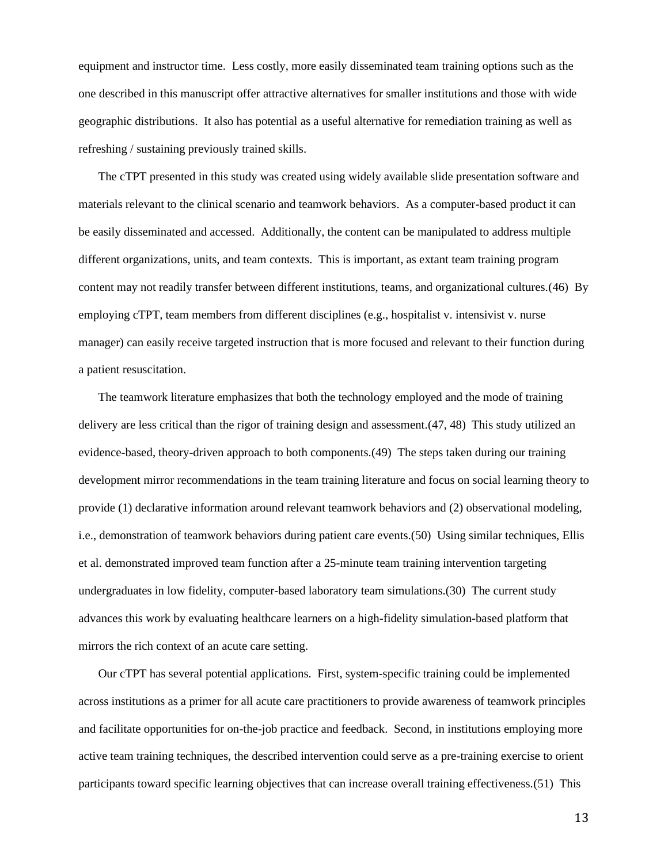equipment and instructor time. Less costly, more easily disseminated team training options such as the one described in this manuscript offer attractive alternatives for smaller institutions and those with wide geographic distributions. It also has potential as a useful alternative for remediation training as well as refreshing / sustaining previously trained skills.

The cTPT presented in this study was created using widely available slide presentation software and materials relevant to the clinical scenario and teamwork behaviors. As a computer-based product it can be easily disseminated and accessed. Additionally, the content can be manipulated to address multiple different organizations, units, and team contexts. This is important, as extant team training program content may not readily transfer between different institutions, teams, and organizational cultures.[\(46\)](#page-17-19) By employing cTPT, team members from different disciplines (e.g., hospitalist v. intensivist v. nurse manager) can easily receive targeted instruction that is more focused and relevant to their function during a patient resuscitation.

The teamwork literature emphasizes that both the technology employed and the mode of training delivery are less critical than the rigor of training design and assessment.[\(47,](#page-17-20) [48\)](#page-17-21) This study utilized an evidence-based, theory-driven approach to both components.[\(49\)](#page-18-0) The steps taken during our training development mirror recommendations in the team training literature and focus on social learning theory to provide (1) declarative information around relevant teamwork behaviors and (2) observational modeling, i.e., demonstration of teamwork behaviors during patient care events.[\(50\)](#page-18-1) Using similar techniques, Ellis et al. demonstrated improved team function after a 25-minute team training intervention targeting undergraduates in low fidelity, computer-based laboratory team simulations.[\(30\)](#page-17-5) The current study advances this work by evaluating healthcare learners on a high-fidelity simulation-based platform that mirrors the rich context of an acute care setting.

Our cTPT has several potential applications. First, system-specific training could be implemented across institutions as a primer for all acute care practitioners to provide awareness of teamwork principles and facilitate opportunities for on-the-job practice and feedback. Second, in institutions employing more active team training techniques, the described intervention could serve as a pre-training exercise to orient participants toward specific learning objectives that can increase overall training effectiveness.[\(51\)](#page-18-2) This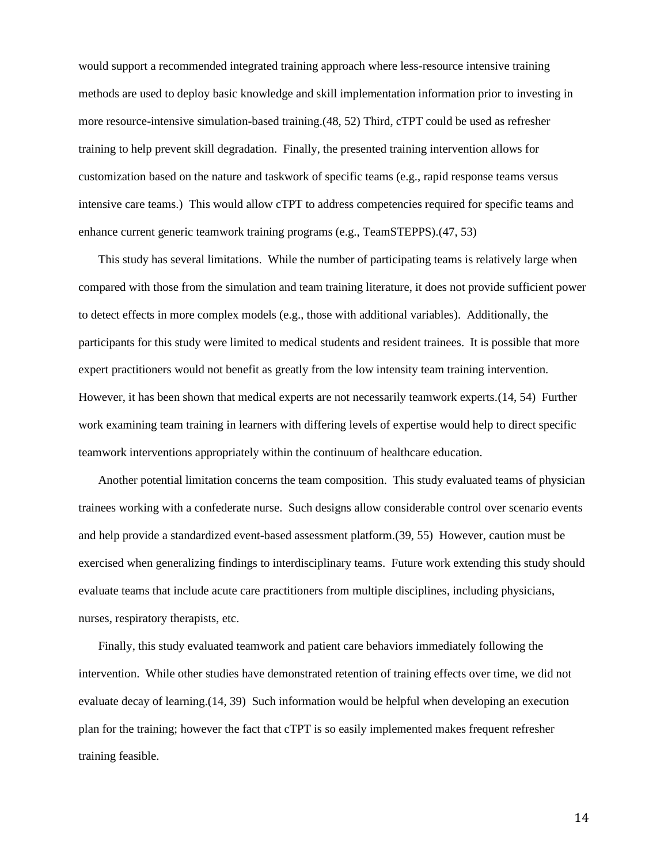would support a recommended integrated training approach where less-resource intensive training methods are used to deploy basic knowledge and skill implementation information prior to investing in more resource-intensive simulation-based training.[\(48,](#page-17-21) [52\)](#page-18-3) Third, cTPT could be used as refresher training to help prevent skill degradation. Finally, the presented training intervention allows for customization based on the nature and taskwork of specific teams (e.g., rapid response teams versus intensive care teams.) This would allow cTPT to address competencies required for specific teams and enhance current generic teamwork training programs (e.g., TeamSTEPPS).[\(47,](#page-17-20) [53\)](#page-18-4)

This study has several limitations. While the number of participating teams is relatively large when compared with those from the simulation and team training literature, it does not provide sufficient power to detect effects in more complex models (e.g., those with additional variables). Additionally, the participants for this study were limited to medical students and resident trainees. It is possible that more expert practitioners would not benefit as greatly from the low intensity team training intervention. However, it has been shown that medical experts are not necessarily teamwork experts.[\(14,](#page-16-6) [54\)](#page-18-5) Further work examining team training in learners with differing levels of expertise would help to direct specific teamwork interventions appropriately within the continuum of healthcare education.

Another potential limitation concerns the team composition. This study evaluated teams of physician trainees working with a confederate nurse. Such designs allow considerable control over scenario events and help provide a standardized event-based assessment platform.[\(39,](#page-17-12) [55\)](#page-18-6) However, caution must be exercised when generalizing findings to interdisciplinary teams. Future work extending this study should evaluate teams that include acute care practitioners from multiple disciplines, including physicians, nurses, respiratory therapists, etc.

Finally, this study evaluated teamwork and patient care behaviors immediately following the intervention. While other studies have demonstrated retention of training effects over time, we did not evaluate decay of learning.[\(14,](#page-16-6) [39\)](#page-17-12) Such information would be helpful when developing an execution plan for the training; however the fact that cTPT is so easily implemented makes frequent refresher training feasible.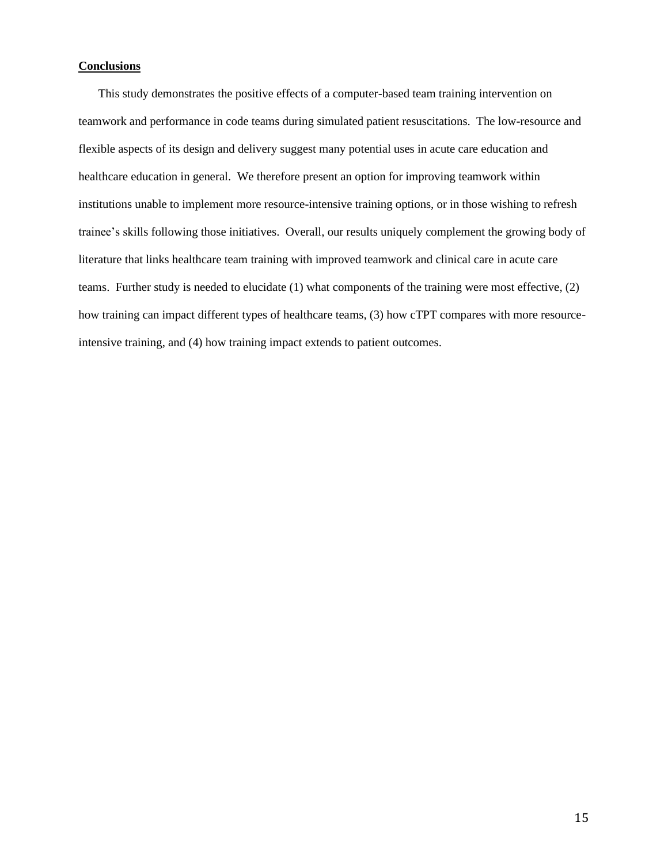## **Conclusions**

This study demonstrates the positive effects of a computer-based team training intervention on teamwork and performance in code teams during simulated patient resuscitations. The low-resource and flexible aspects of its design and delivery suggest many potential uses in acute care education and healthcare education in general. We therefore present an option for improving teamwork within institutions unable to implement more resource-intensive training options, or in those wishing to refresh trainee's skills following those initiatives. Overall, our results uniquely complement the growing body of literature that links healthcare team training with improved teamwork and clinical care in acute care teams. Further study is needed to elucidate (1) what components of the training were most effective, (2) how training can impact different types of healthcare teams, (3) how cTPT compares with more resourceintensive training, and (4) how training impact extends to patient outcomes.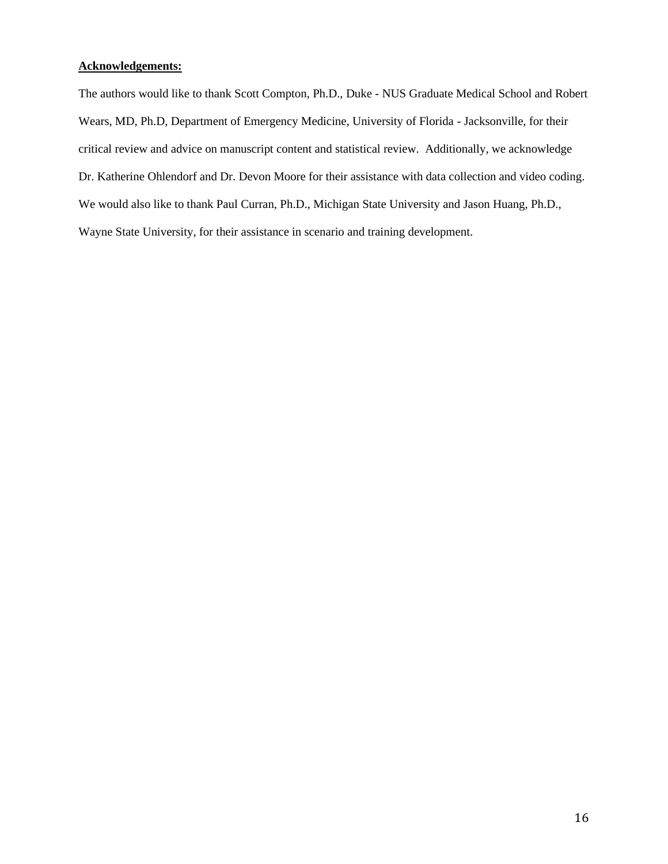# **Acknowledgements:**

The authors would like to thank Scott Compton, Ph.D., Duke - NUS Graduate Medical School and Robert Wears, MD, Ph.D, Department of Emergency Medicine, University of Florida - Jacksonville, for their critical review and advice on manuscript content and statistical review. Additionally, we acknowledge Dr. Katherine Ohlendorf and Dr. Devon Moore for their assistance with data collection and video coding. We would also like to thank Paul Curran, Ph.D., Michigan State University and Jason Huang, Ph.D., Wayne State University, for their assistance in scenario and training development.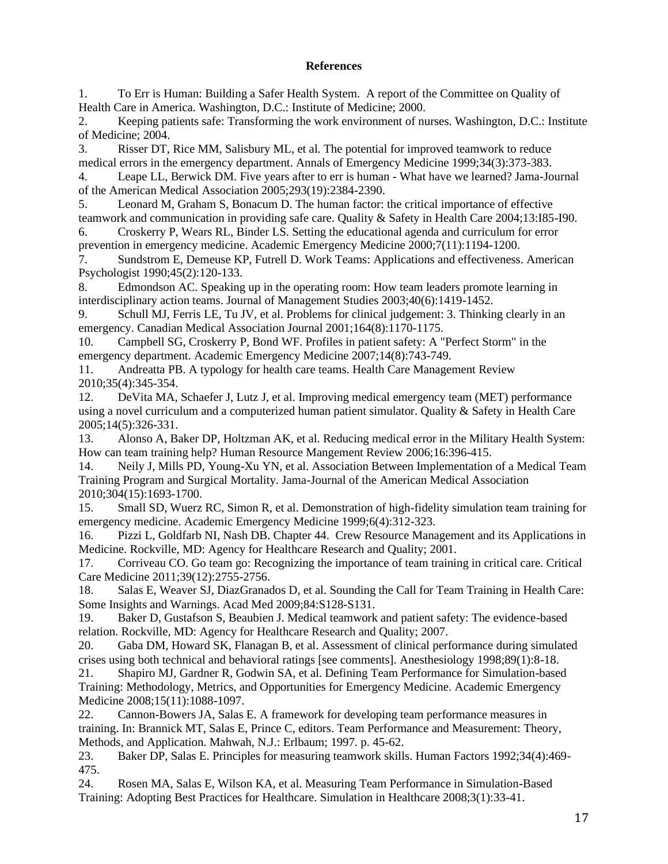# **References**

<span id="page-16-0"></span>1. To Err is Human: Building a Safer Health System. A report of the Committee on Quality of Health Care in America. Washington, D.C.: Institute of Medicine; 2000.

2. Keeping patients safe: Transforming the work environment of nurses. Washington, D.C.: Institute of Medicine; 2004.

<span id="page-16-17"></span>3. Risser DT, Rice MM, Salisbury ML, et al. The potential for improved teamwork to reduce medical errors in the emergency department. Annals of Emergency Medicine 1999;34(3):373-383.

<span id="page-16-1"></span>4. Leape LL, Berwick DM. Five years after to err is human - What have we learned? Jama-Journal of the American Medical Association 2005;293(19):2384-2390.

<span id="page-16-2"></span>5. Leonard M, Graham S, Bonacum D. The human factor: the critical importance of effective teamwork and communication in providing safe care. Quality & Safety in Health Care 2004;13:I85-I90.

6. Croskerry P, Wears RL, Binder LS. Setting the educational agenda and curriculum for error prevention in emergency medicine. Academic Emergency Medicine 2000;7(11):1194-1200.

7. Sundstrom E, Demeuse KP, Futrell D. Work Teams: Applications and effectiveness. American Psychologist 1990;45(2):120-133.

8. Edmondson AC. Speaking up in the operating room: How team leaders promote learning in interdisciplinary action teams. Journal of Management Studies 2003;40(6):1419-1452.

<span id="page-16-3"></span>9. Schull MJ, Ferris LE, Tu JV, et al. Problems for clinical judgement: 3. Thinking clearly in an emergency. Canadian Medical Association Journal 2001;164(8):1170-1175.

10. Campbell SG, Croskerry P, Bond WF. Profiles in patient safety: A "Perfect Storm" in the emergency department. Academic Emergency Medicine 2007;14(8):743-749.

11. Andreatta PB. A typology for health care teams. Health Care Management Review 2010;35(4):345-354.

<span id="page-16-4"></span>12. DeVita MA, Schaefer J, Lutz J, et al. Improving medical emergency team (MET) performance using a novel curriculum and a computerized human patient simulator. Quality & Safety in Health Care 2005;14(5):326-331.

<span id="page-16-5"></span>13. Alonso A, Baker DP, Holtzman AK, et al. Reducing medical error in the Military Health System: How can team training help? Human Resource Mangement Review 2006;16:396-415.

<span id="page-16-6"></span>14. Neily J, Mills PD, Young-Xu YN, et al. Association Between Implementation of a Medical Team Training Program and Surgical Mortality. Jama-Journal of the American Medical Association 2010;304(15):1693-1700.

<span id="page-16-7"></span>15. Small SD, Wuerz RC, Simon R, et al. Demonstration of high-fidelity simulation team training for emergency medicine. Academic Emergency Medicine 1999;6(4):312-323.

<span id="page-16-8"></span>16. Pizzi L, Goldfarb NI, Nash DB. Chapter 44. Crew Resource Management and its Applications in Medicine. Rockville, MD: Agency for Healthcare Research and Quality; 2001.

<span id="page-16-9"></span>17. Corriveau CO. Go team go: Recognizing the importance of team training in critical care. Critical Care Medicine 2011;39(12):2755-2756.

<span id="page-16-10"></span>18. Salas E, Weaver SJ, DiazGranados D, et al. Sounding the Call for Team Training in Health Care: Some Insights and Warnings. Acad Med 2009;84:S128-S131.

<span id="page-16-11"></span>19. Baker D, Gustafson S, Beaubien J. Medical teamwork and patient safety: The evidence-based relation. Rockville, MD: Agency for Healthcare Research and Quality; 2007.

<span id="page-16-12"></span>20. Gaba DM, Howard SK, Flanagan B, et al. Assessment of clinical performance during simulated crises using both technical and behavioral ratings [see comments]. Anesthesiology 1998;89(1):8-18.

<span id="page-16-13"></span>21. Shapiro MJ, Gardner R, Godwin SA, et al. Defining Team Performance for Simulation-based Training: Methodology, Metrics, and Opportunities for Emergency Medicine. Academic Emergency Medicine 2008;15(11):1088-1097.

<span id="page-16-14"></span>22. Cannon-Bowers JA, Salas E. A framework for developing team performance measures in training. In: Brannick MT, Salas E, Prince C, editors. Team Performance and Measurement: Theory, Methods, and Application. Mahwah, N.J.: Erlbaum; 1997. p. 45-62.

<span id="page-16-15"></span>23. Baker DP, Salas E. Principles for measuring teamwork skills. Human Factors 1992;34(4):469- 475.

<span id="page-16-16"></span>24. Rosen MA, Salas E, Wilson KA, et al. Measuring Team Performance in Simulation-Based Training: Adopting Best Practices for Healthcare. Simulation in Healthcare 2008;3(1):33-41.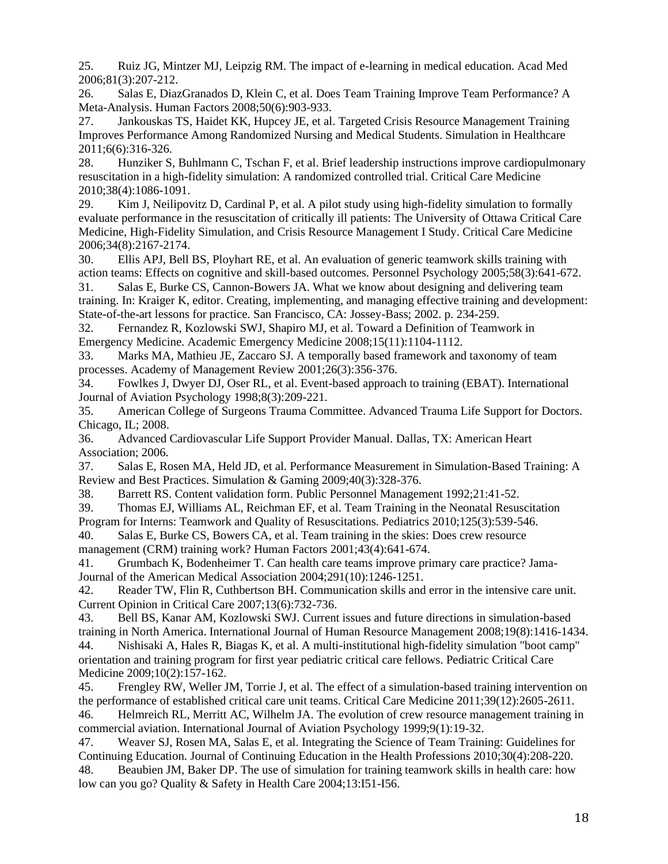<span id="page-17-0"></span>25. Ruiz JG, Mintzer MJ, Leipzig RM. The impact of e-learning in medical education. Acad Med 2006;81(3):207-212.

<span id="page-17-1"></span>26. Salas E, DiazGranados D, Klein C, et al. Does Team Training Improve Team Performance? A Meta-Analysis. Human Factors 2008;50(6):903-933.

<span id="page-17-2"></span>27. Jankouskas TS, Haidet KK, Hupcey JE, et al. Targeted Crisis Resource Management Training Improves Performance Among Randomized Nursing and Medical Students. Simulation in Healthcare 2011;6(6):316-326.

<span id="page-17-3"></span>28. Hunziker S, Buhlmann C, Tschan F, et al. Brief leadership instructions improve cardiopulmonary resuscitation in a high-fidelity simulation: A randomized controlled trial. Critical Care Medicine 2010;38(4):1086-1091.

<span id="page-17-4"></span>29. Kim J, Neilipovitz D, Cardinal P, et al. A pilot study using high-fidelity simulation to formally evaluate performance in the resuscitation of critically ill patients: The University of Ottawa Critical Care Medicine, High-Fidelity Simulation, and Crisis Resource Management I Study. Critical Care Medicine 2006;34(8):2167-2174.

<span id="page-17-5"></span>30. Ellis APJ, Bell BS, Ployhart RE, et al. An evaluation of generic teamwork skills training with action teams: Effects on cognitive and skill-based outcomes. Personnel Psychology 2005;58(3):641-672.

<span id="page-17-6"></span>31. Salas E, Burke CS, Cannon-Bowers JA. What we know about designing and delivering team training. In: Kraiger K, editor. Creating, implementing, and managing effective training and development: State-of-the-art lessons for practice. San Francisco, CA: Jossey-Bass; 2002. p. 234-259.

<span id="page-17-7"></span>32. Fernandez R, Kozlowski SWJ, Shapiro MJ, et al. Toward a Definition of Teamwork in Emergency Medicine. Academic Emergency Medicine 2008;15(11):1104-1112.

<span id="page-17-8"></span>33. Marks MA, Mathieu JE, Zaccaro SJ. A temporally based framework and taxonomy of team processes. Academy of Management Review 2001;26(3):356-376.

<span id="page-17-9"></span>34. Fowlkes J, Dwyer DJ, Oser RL, et al. Event-based approach to training (EBAT). International Journal of Aviation Psychology 1998;8(3):209-221.

35. American College of Surgeons Trauma Committee. Advanced Trauma Life Support for Doctors. Chicago, IL; 2008.

36. Advanced Cardiovascular Life Support Provider Manual. Dallas, TX: American Heart Association; 2006.

<span id="page-17-10"></span>37. Salas E, Rosen MA, Held JD, et al. Performance Measurement in Simulation-Based Training: A Review and Best Practices. Simulation & Gaming 2009;40(3):328-376.

<span id="page-17-11"></span>38. Barrett RS. Content validation form. Public Personnel Management 1992;21:41-52.

<span id="page-17-12"></span>39. Thomas EJ, Williams AL, Reichman EF, et al. Team Training in the Neonatal Resuscitation

<span id="page-17-13"></span>Program for Interns: Teamwork and Quality of Resuscitations. Pediatrics 2010;125(3):539-546. 40. Salas E, Burke CS, Bowers CA, et al. Team training in the skies: Does crew resource

management (CRM) training work? Human Factors 2001;43(4):641-674.

<span id="page-17-14"></span>41. Grumbach K, Bodenheimer T. Can health care teams improve primary care practice? Jama-Journal of the American Medical Association 2004;291(10):1246-1251.

<span id="page-17-15"></span>42. Reader TW, Flin R, Cuthbertson BH. Communication skills and error in the intensive care unit. Current Opinion in Critical Care 2007;13(6):732-736.

<span id="page-17-17"></span><span id="page-17-16"></span>43. Bell BS, Kanar AM, Kozlowski SWJ. Current issues and future directions in simulation-based training in North America. International Journal of Human Resource Management 2008;19(8):1416-1434. 44. Nishisaki A, Hales R, Biagas K, et al. A multi-institutional high-fidelity simulation "boot camp" orientation and training program for first year pediatric critical care fellows. Pediatric Critical Care Medicine 2009;10(2):157-162.

<span id="page-17-18"></span>45. Frengley RW, Weller JM, Torrie J, et al. The effect of a simulation-based training intervention on the performance of established critical care unit teams. Critical Care Medicine 2011;39(12):2605-2611. 46. Helmreich RL, Merritt AC, Wilhelm JA. The evolution of crew resource management training in

<span id="page-17-19"></span>commercial aviation. International Journal of Aviation Psychology 1999;9(1):19-32.

<span id="page-17-20"></span>47. Weaver SJ, Rosen MA, Salas E, et al. Integrating the Science of Team Training: Guidelines for Continuing Education. Journal of Continuing Education in the Health Professions 2010;30(4):208-220. 48. Beaubien JM, Baker DP. The use of simulation for training teamwork skills in health care: how

<span id="page-17-21"></span>low can you go? Quality & Safety in Health Care 2004;13:I51-I56.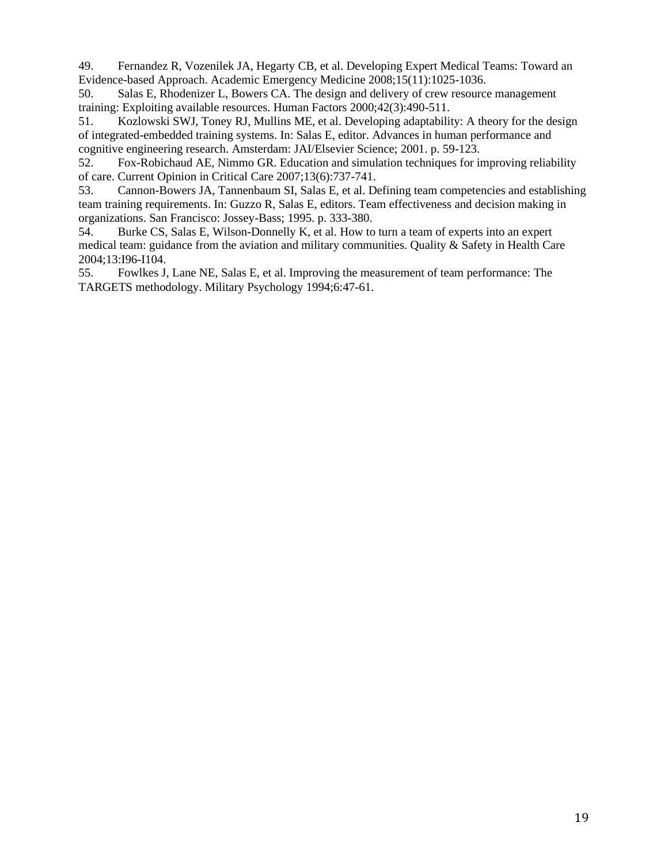<span id="page-18-0"></span>49. Fernandez R, Vozenilek JA, Hegarty CB, et al. Developing Expert Medical Teams: Toward an Evidence-based Approach. Academic Emergency Medicine 2008;15(11):1025-1036.

<span id="page-18-1"></span>50. Salas E, Rhodenizer L, Bowers CA. The design and delivery of crew resource management training: Exploiting available resources. Human Factors 2000;42(3):490-511.

<span id="page-18-2"></span>51. Kozlowski SWJ, Toney RJ, Mullins ME, et al. Developing adaptability: A theory for the design of integrated-embedded training systems. In: Salas E, editor. Advances in human performance and cognitive engineering research. Amsterdam: JAI/Elsevier Science; 2001. p. 59-123.

<span id="page-18-3"></span>52. Fox-Robichaud AE, Nimmo GR. Education and simulation techniques for improving reliability of care. Current Opinion in Critical Care 2007;13(6):737-741.

<span id="page-18-4"></span>53. Cannon-Bowers JA, Tannenbaum SI, Salas E, et al. Defining team competencies and establishing team training requirements. In: Guzzo R, Salas E, editors. Team effectiveness and decision making in organizations. San Francisco: Jossey-Bass; 1995. p. 333-380.

<span id="page-18-5"></span>54. Burke CS, Salas E, Wilson-Donnelly K, et al. How to turn a team of experts into an expert medical team: guidance from the aviation and military communities. Quality & Safety in Health Care 2004;13:I96-I104.

<span id="page-18-6"></span>55. Fowlkes J, Lane NE, Salas E, et al. Improving the measurement of team performance: The TARGETS methodology. Military Psychology 1994;6:47-61.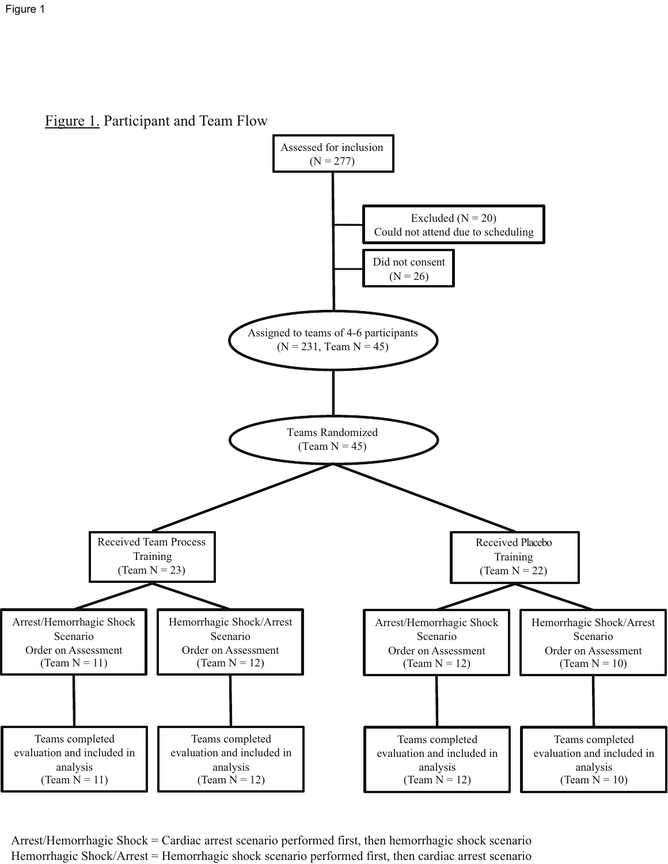Figure 1. Participant and Team Flow



Arrest/Hemorrhagic Shock = Cardiac arrest scenario performed first, then hemorrhagic shock scenario Hemorrhagic Shock/Arrest = Hemorrhagic shock scenario performed first, then cardiac arrest scenario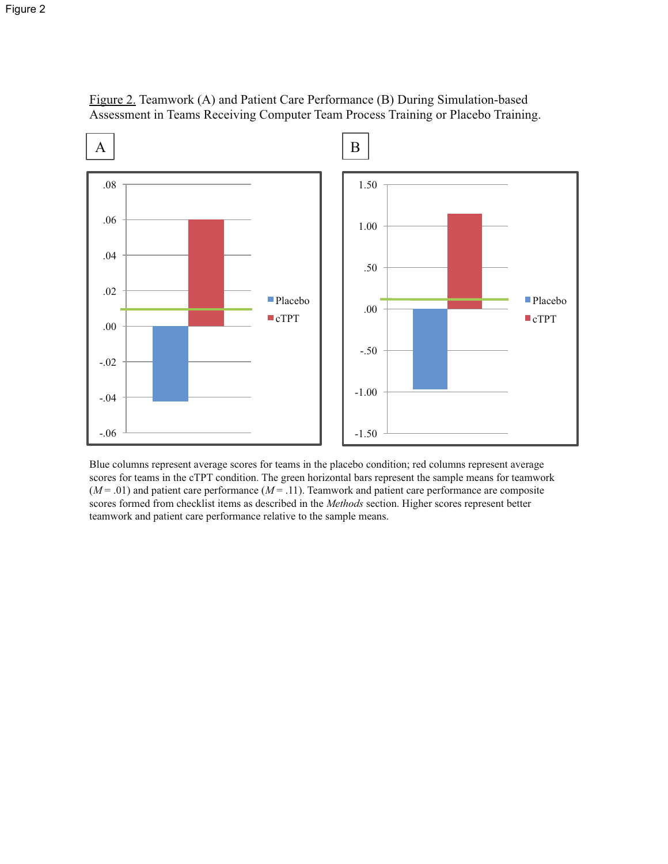

Figure 2. Teamwork (A) and Patient Care Performance (B) During Simulation-based Assessment in Teams Receiving Computer Team Process Training or Placebo Training.

Blue columns represent average scores for teams in the placebo condition; red columns represent average scores for teams in the cTPT condition. The green horizontal bars represent the sample means for teamwork  $(M = .01)$  and patient care performance  $(M = .11)$ . Teamwork and patient care performance are composite scores formed from checklist items as described in the *Methods* section. Higher scores represent better teamwork and patient care performance relative to the sample means.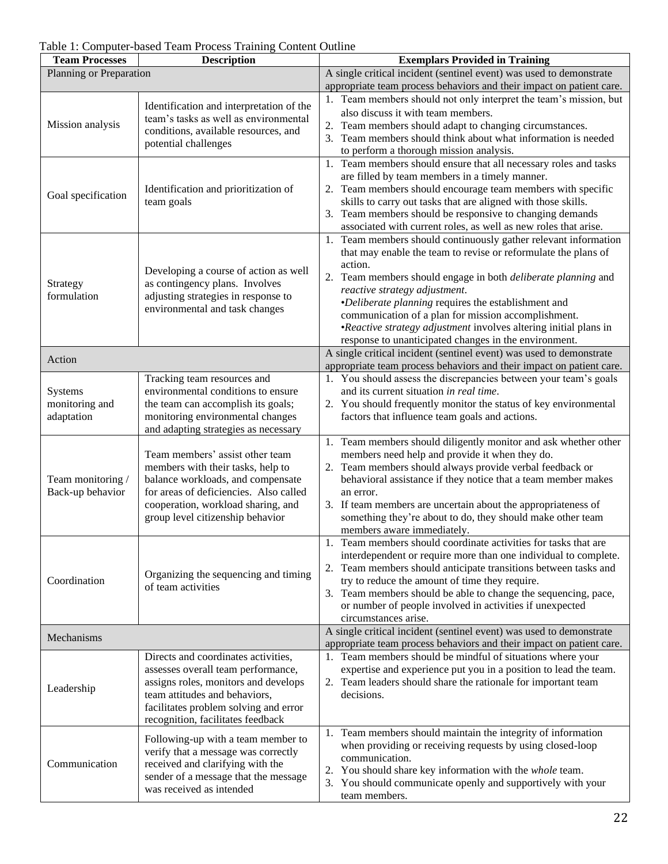| Table 1: Computer-based Team Process Training Content Outline |  |
|---------------------------------------------------------------|--|
|---------------------------------------------------------------|--|

| <b>Description</b><br><b>Team Processes</b> |                                                                                                                                                                                                                                  | <b>Exemplars Provided in Training</b>                                                                                                                                                                                                                                                                                                                                                                                                                                                            |  |  |  |
|---------------------------------------------|----------------------------------------------------------------------------------------------------------------------------------------------------------------------------------------------------------------------------------|--------------------------------------------------------------------------------------------------------------------------------------------------------------------------------------------------------------------------------------------------------------------------------------------------------------------------------------------------------------------------------------------------------------------------------------------------------------------------------------------------|--|--|--|
| Planning or Preparation                     |                                                                                                                                                                                                                                  | A single critical incident (sentinel event) was used to demonstrate                                                                                                                                                                                                                                                                                                                                                                                                                              |  |  |  |
|                                             |                                                                                                                                                                                                                                  | appropriate team process behaviors and their impact on patient care.                                                                                                                                                                                                                                                                                                                                                                                                                             |  |  |  |
| Mission analysis                            | Identification and interpretation of the<br>team's tasks as well as environmental<br>conditions, available resources, and<br>potential challenges                                                                                | 1. Team members should not only interpret the team's mission, but<br>also discuss it with team members.<br>2. Team members should adapt to changing circumstances.<br>3. Team members should think about what information is needed<br>to perform a thorough mission analysis.                                                                                                                                                                                                                   |  |  |  |
| Goal specification                          | Identification and prioritization of<br>team goals                                                                                                                                                                               | 1. Team members should ensure that all necessary roles and tasks<br>are filled by team members in a timely manner.<br>Team members should encourage team members with specific<br>2.<br>skills to carry out tasks that are aligned with those skills.<br>3. Team members should be responsive to changing demands<br>associated with current roles, as well as new roles that arise.                                                                                                             |  |  |  |
| Strategy<br>formulation                     | Developing a course of action as well<br>as contingency plans. Involves<br>adjusting strategies in response to<br>environmental and task changes                                                                                 | 1. Team members should continuously gather relevant information<br>that may enable the team to revise or reformulate the plans of<br>action.<br>2. Team members should engage in both <i>deliberate planning</i> and<br>reactive strategy adjustment.<br>•Deliberate planning requires the establishment and<br>communication of a plan for mission accomplishment.<br>•Reactive strategy adjustment involves altering initial plans in<br>response to unanticipated changes in the environment. |  |  |  |
| Action                                      |                                                                                                                                                                                                                                  | A single critical incident (sentinel event) was used to demonstrate<br>appropriate team process behaviors and their impact on patient care.                                                                                                                                                                                                                                                                                                                                                      |  |  |  |
| Systems<br>monitoring and<br>adaptation     | Tracking team resources and<br>environmental conditions to ensure<br>the team can accomplish its goals;<br>monitoring environmental changes<br>and adapting strategies as necessary                                              | 1. You should assess the discrepancies between your team's goals<br>and its current situation in real time.<br>2. You should frequently monitor the status of key environmental<br>factors that influence team goals and actions.                                                                                                                                                                                                                                                                |  |  |  |
| Team monitoring /<br>Back-up behavior       | Team members' assist other team<br>members with their tasks, help to<br>balance workloads, and compensate<br>for areas of deficiencies. Also called<br>cooperation, workload sharing, and<br>group level citizenship behavior    | 1. Team members should diligently monitor and ask whether other<br>members need help and provide it when they do.<br>2. Team members should always provide verbal feedback or<br>behavioral assistance if they notice that a team member makes<br>an error.<br>3. If team members are uncertain about the appropriateness of<br>something they're about to do, they should make other team<br>members aware immediately.                                                                         |  |  |  |
| Coordination                                | Organizing the sequencing and timing<br>of team activities                                                                                                                                                                       | 1. Team members should coordinate activities for tasks that are<br>interdependent or require more than one individual to complete.<br>2. Team members should anticipate transitions between tasks and<br>try to reduce the amount of time they require.<br>3. Team members should be able to change the sequencing, pace,<br>or number of people involved in activities if unexpected<br>circumstances arise.                                                                                    |  |  |  |
| Mechanisms                                  |                                                                                                                                                                                                                                  | A single critical incident (sentinel event) was used to demonstrate<br>appropriate team process behaviors and their impact on patient care.                                                                                                                                                                                                                                                                                                                                                      |  |  |  |
| Leadership                                  | Directs and coordinates activities,<br>assesses overall team performance,<br>assigns roles, monitors and develops<br>team attitudes and behaviors,<br>facilitates problem solving and error<br>recognition, facilitates feedback | 1. Team members should be mindful of situations where your<br>expertise and experience put you in a position to lead the team.<br>2. Team leaders should share the rationale for important team<br>decisions.                                                                                                                                                                                                                                                                                    |  |  |  |
| Communication                               | Following-up with a team member to<br>verify that a message was correctly<br>received and clarifying with the<br>sender of a message that the message<br>was received as intended                                                | 1. Team members should maintain the integrity of information<br>when providing or receiving requests by using closed-loop<br>communication.<br>2. You should share key information with the whole team.<br>3. You should communicate openly and supportively with your<br>team members.                                                                                                                                                                                                          |  |  |  |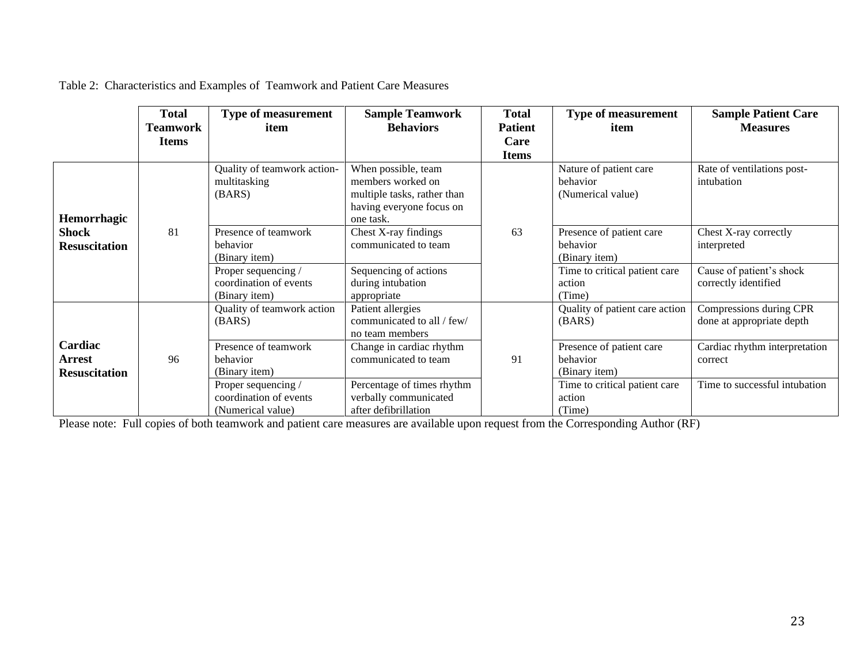|                                           | <b>Total</b> | <b>Type of measurement</b>                                               | <b>Sample Teamwork</b>                                                                                           | <b>Total</b>   | <b>Type of measurement</b>                                                             | <b>Sample Patient Care</b>                                                |
|-------------------------------------------|--------------|--------------------------------------------------------------------------|------------------------------------------------------------------------------------------------------------------|----------------|----------------------------------------------------------------------------------------|---------------------------------------------------------------------------|
|                                           | Teamwork     | item                                                                     | <b>Behaviors</b>                                                                                                 | <b>Patient</b> | item                                                                                   | <b>Measures</b>                                                           |
|                                           | <b>Items</b> |                                                                          |                                                                                                                  | Care           |                                                                                        |                                                                           |
|                                           |              |                                                                          |                                                                                                                  | <b>Items</b>   |                                                                                        |                                                                           |
| Hemorrhagic                               |              | Quality of teamwork action-<br>multitasking<br>(BARS)                    | When possible, team<br>members worked on<br>multiple tasks, rather than<br>having everyone focus on<br>one task. |                | Nature of patient care<br>behavior<br>(Numerical value)                                | Rate of ventilations post-<br>intubation                                  |
| <b>Shock</b><br><b>Resuscitation</b>      | 81           | Presence of teamwork<br>behavior<br>(Binary item)                        | Chest X-ray findings<br>communicated to team                                                                     | 63             | Presence of patient care<br>behavior<br>(Binary item)                                  | Chest X-ray correctly<br>interpreted                                      |
|                                           |              | Proper sequencing /<br>coordination of events<br>(Binary item)           | Sequencing of actions<br>during intubation<br>appropriate                                                        |                | Time to critical patient care<br>action<br>(Time)                                      | Cause of patient's shock<br>correctly identified                          |
|                                           |              | Quality of teamwork action<br>(BARS)                                     | Patient allergies<br>communicated to all / few/<br>no team members                                               |                | Quality of patient care action<br>(BARS)                                               | Compressions during CPR<br>done at appropriate depth                      |
| Cardiac<br>Arrest<br><b>Resuscitation</b> | 96           | Presence of teamwork<br>behavior<br>(Binary item)<br>Proper sequencing / | Change in cardiac rhythm<br>communicated to team<br>Percentage of times rhythm                                   | 91             | Presence of patient care<br>behavior<br>(Binary item)<br>Time to critical patient care | Cardiac rhythm interpretation<br>correct<br>Time to successful intubation |
|                                           |              | coordination of events<br>(Numerical value)                              | verbally communicated<br>after defibrillation                                                                    |                | action<br>(Time)                                                                       |                                                                           |

Table 2: Characteristics and Examples of Teamwork and Patient Care Measures

Please note: Full copies of both teamwork and patient care measures are available upon request from the Corresponding Author (RF)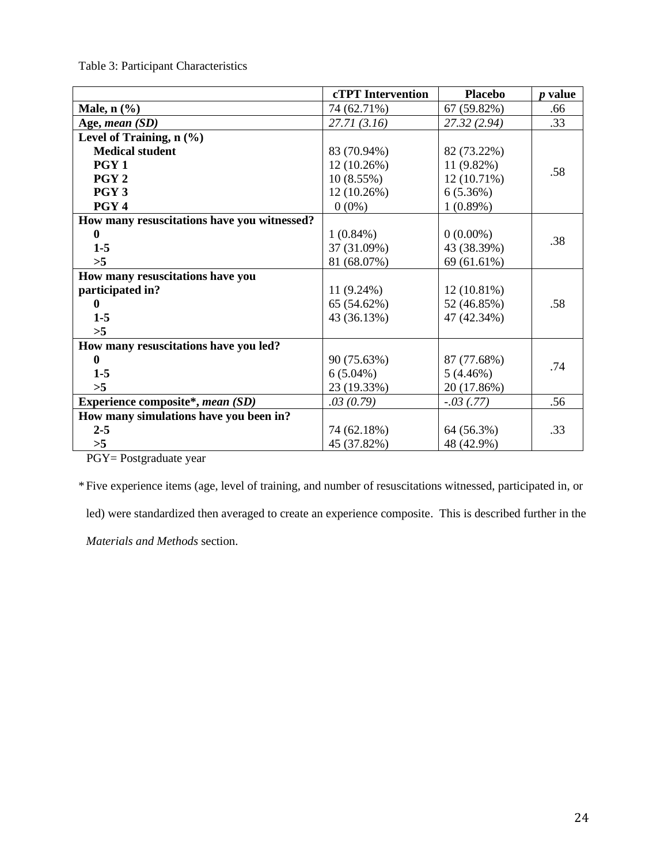Table 3: Participant Characteristics

|                                             | <b>cTPT</b> Intervention | <b>Placebo</b> | <i>p</i> value |
|---------------------------------------------|--------------------------|----------------|----------------|
| Male, $n$ $(\%)$                            | 74 (62.71%)              | 67 (59.82%)    | .66            |
| Age, mean (SD)                              | 27.71(3.16)              | 27.32 (2.94)   | .33            |
| Level of Training, $n$ $(\frac{9}{6})$      |                          |                |                |
| <b>Medical student</b>                      | 83 (70.94%)              | 82 (73.22%)    |                |
| PGY <sub>1</sub>                            | 12 (10.26%)              | 11 (9.82%)     | .58            |
| PGY <sub>2</sub>                            | 10(8.55%)                | $12(10.71\%)$  |                |
| PGY <sub>3</sub>                            | 12 (10.26%)              | 6(5.36%)       |                |
| PGY <sub>4</sub>                            | $0(0\%)$                 | 1(0.89%)       |                |
| How many resuscitations have you witnessed? |                          |                |                |
| $\bf{0}$                                    | $1(0.84\%)$              | $0(0.00\%)$    | .38            |
| $1 - 5$                                     | 37 (31.09%)              | 43 (38.39%)    |                |
| >5                                          | 81 (68.07%)              | 69 (61.61%)    |                |
| How many resuscitations have you            |                          |                |                |
| participated in?                            | $11(9.24\%)$             | 12 (10.81%)    |                |
| $\mathbf{0}$                                | 65 (54.62%)              | 52 (46.85%)    | .58            |
| $1 - 5$                                     | 43 (36.13%)              | 47 (42.34%)    |                |
| >5                                          |                          |                |                |
| How many resuscitations have you led?       |                          |                |                |
| $\mathbf{0}$                                | 90 (75.63%)              | 87 (77.68%)    | .74            |
| $1 - 5$                                     | $6(5.04\%)$              | 5(4.46%)       |                |
| >5                                          | 23 (19.33%)              | 20 (17.86%)    |                |
| Experience composite*, mean (SD)            | .03(0.79)                | $-.03(.77)$    | .56            |
| How many simulations have you been in?      |                          |                |                |
| $2 - 5$                                     | 74 (62.18%)              | 64 (56.3%)     | .33            |
| >5                                          | 45 (37.82%)              | 48 (42.9%)     |                |

PGY= Postgraduate year

\*Five experience items (age, level of training, and number of resuscitations witnessed, participated in, or

led) were standardized then averaged to create an experience composite. This is described further in the

*Materials and Methods* section.